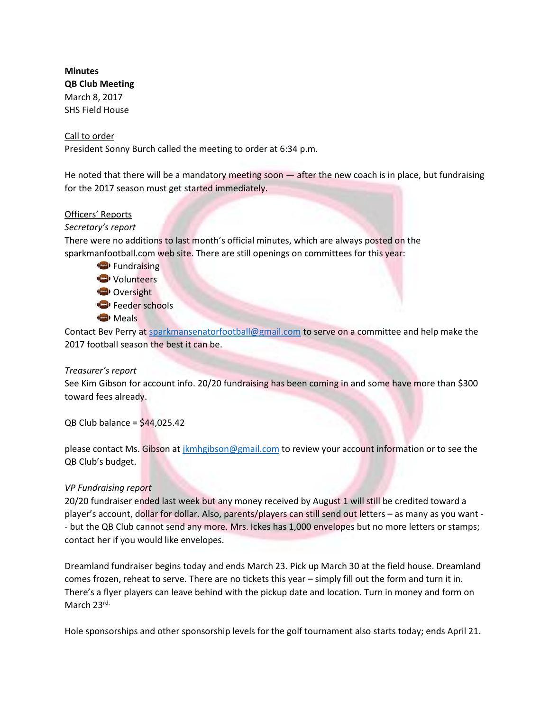**Minutes QB Club Meeting** March 8, 2017 SHS Field House

### Call to order

President Sonny Burch called the meeting to order at 6:34 p.m.

He noted that there will be a mandatory meeting soon — after the new coach is in place, but fundraising for the 2017 season must get started immediately.

#### Officers' Reports

#### *Secretary's report*

There were no additions to last month's official minutes, which are always posted on the sparkmanfootball.com web site. There are still openings on committees for this year:

G Fundraising **W** Volunteers Oversight Feeder schools **Meals** 

Contact Bev Perry at [sparkmansenatorfootball@gmail.com](mailto:sparkmansenatorfootball@gmail.com) to serve on a committee and help make the 2017 football season the best it can be.

# *Treasurer's report*

See Kim Gibson for account info. 20/20 fundraising has been coming in and some have more than \$300 toward fees already.

 $QB$  Club balance = \$44,025.42

please contact Ms. Gibson at [jkmhgibson@gmail.com](mailto:jkmhgibson@gmail.com) to review your account information or to see the QB Club's budget.

#### *VP Fundraising report*

20/20 fundraiser ended last week but any money received by August 1 will still be credited toward a player's account, dollar for dollar. Also, parents/players can still send out letters – as many as you want - - but the QB Club cannot send any more. Mrs. Ickes has 1,000 envelopes but no more letters or stamps; contact her if you would like envelopes.

Dreamland fundraiser begins today and ends March 23. Pick up March 30 at the field house. Dreamland comes frozen, reheat to serve. There are no tickets this year – simply fill out the form and turn it in. There's a flyer players can leave behind with the pickup date and location. Turn in money and form on March 23rd.

Hole sponsorships and other sponsorship levels for the golf tournament also starts today; ends April 21.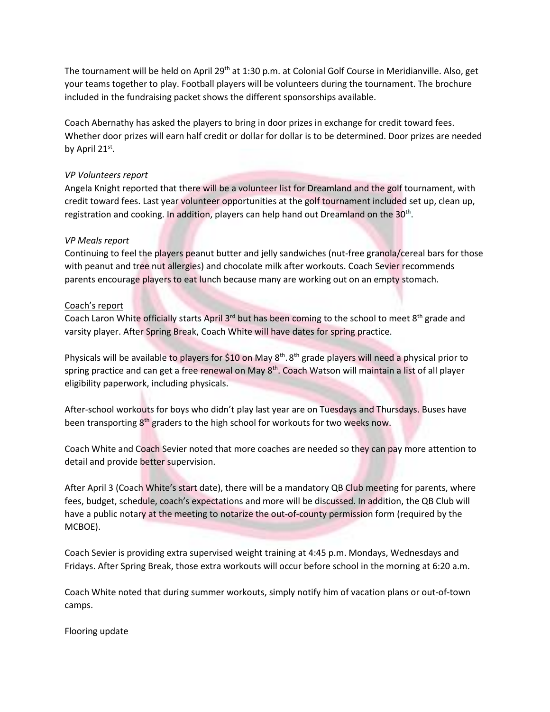The tournament will be held on April 29<sup>th</sup> at 1:30 p.m. at Colonial Golf Course in Meridianville. Also, get your teams together to play. Football players will be volunteers during the tournament. The brochure included in the fundraising packet shows the different sponsorships available.

Coach Abernathy has asked the players to bring in door prizes in exchange for credit toward fees. Whether door prizes will earn half credit or dollar for dollar is to be determined. Door prizes are needed by April 21st.

## *VP Volunteers report*

Angela Knight reported that there will be a volunteer list for Dreamland and the golf tournament, with credit toward fees. Last year volunteer opportunities at the golf tournament included set up, clean up, registration and cooking. In addition, players can help hand out Dreamland on the 30<sup>th</sup>.

# *VP Meals report*

Continuing to feel the players peanut butter and jelly sandwiches (nut-free granola/cereal bars for those with peanut and tree nut allergies) and chocolate milk after workouts. Coach Sevier recommends parents encourage players to eat lunch because many are working out on an empty stomach.

## Coach's report

Coach Laron White officially starts April 3<sup>rd</sup> but has been coming to the school to meet 8<sup>th</sup> grade and varsity player. After Spring Break, Coach White will have dates for spring practice.

Physicals will be available to players for \$10 on May 8<sup>th</sup>. 8<sup>th</sup> grade players will need a physical prior to spring practice and can get a free renewal on May 8<sup>th</sup>. Coach Watson will maintain a list of all player eligibility paperwork, including physicals.

After-school workouts for boys who didn't play last year are on Tuesdays and Thursdays. Buses have been transporting 8<sup>th</sup> graders to the high school for workouts for two weeks now.

Coach White and Coach Sevier noted that more coaches are needed so they can pay more attention to detail and provide better supervision.

After April 3 (Coach White's start date), there will be a mandatory QB Club meeting for parents, where fees, budget, schedule, coach's expectations and more will be discussed. In addition, the QB Club will have a public notary at the meeting to notarize the out-of-county permission form (required by the MCBOE).

Coach Sevier is providing extra supervised weight training at 4:45 p.m. Mondays, Wednesdays and Fridays. After Spring Break, those extra workouts will occur before school in the morning at 6:20 a.m.

Coach White noted that during summer workouts, simply notify him of vacation plans or out-of-town camps.

Flooring update